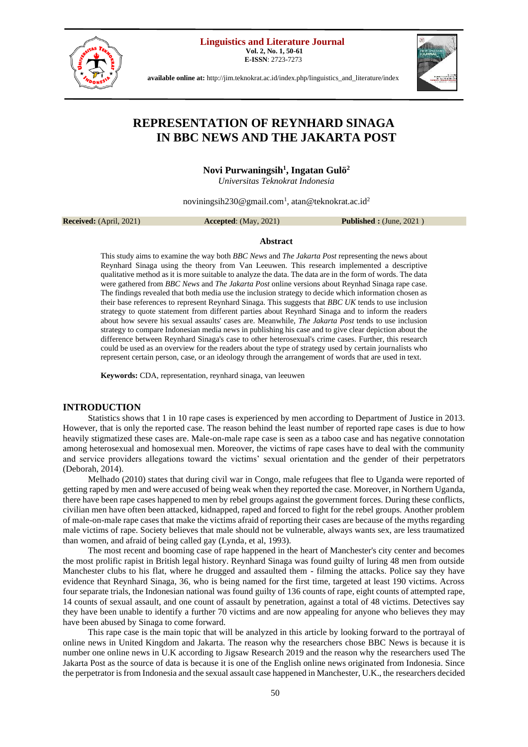**Linguistics and Literature Journal**

**Vol. 2, No. 1, 50-61 E-ISSN**: 2723-7273





**available online at:** [http://jim.teknokrat.ac.id/index.php/linguistics\\_and\\_literature/index](http://jim.teknokrat.ac.id/index.php/linguistics_and_literature/index)

# **REPRESENTATION OF REYNHARD SINAGA IN BBC NEWS AND THE JAKARTA POST**

**Novi Purwaningsih<sup>1</sup> , Ingatan Gulö<sup>2</sup>**

*Universitas Teknokrat Indonesia*

[noviningsih230@gmail.com](mailto:noviningsih230@gmail.com1)<sup>1</sup>, atan@teknokrat.ac.id<sup>2</sup>

**Received:** (April, 2021) **Accepted**: (May, 2021) **Published :** (June, 2021 )

# **Abstract**

This study aims to examine the way both *BBC News* and *The Jakarta Post* representing the news about Reynhard Sinaga using the theory from Van Leeuwen. This research implemented a descriptive qualitative method as it is more suitable to analyze the data. The data are in the form of words. The data were gathered from *BBC News* and *The Jakarta Post* online versions about Reynhad Sinaga rape case. The findings revealed that both media use the inclusion strategy to decide which information chosen as their base references to represent Reynhard Sinaga. This suggests that *BBC UK* tends to use inclusion strategy to quote statement from different parties about Reynhard Sinaga and to inform the readers about how severe his sexual assaults' cases are. Meanwhile, *The Jakarta Post* tends to use inclusion strategy to compare Indonesian media news in publishing his case and to give clear depiction about the difference between Reynhard Sinaga's case to other heterosexual's crime cases. Further, this research could be used as an overview for the readers about the type of strategy used by certain journalists who represent certain person, case, or an ideology through the arrangement of words that are used in text.

**Keywords:** CDA, representation, reynhard sinaga, van leeuwen

# **INTRODUCTION**

Statistics shows that 1 in 10 rape cases is experienced by men according to Department of Justice in 2013. However, that is only the reported case. The reason behind the least number of reported rape cases is due to how heavily stigmatized these cases are. Male-on-male rape case is seen as a taboo case and has negative connotation among heterosexual and homosexual men. Moreover, the victims of rape cases have to deal with the community and service providers allegations toward the victims' sexual orientation and the gender of their perpetrators (Deborah, 2014).

Melhado (2010) states that during civil war in Congo, male refugees that flee to Uganda were reported of getting raped by men and were accused of being weak when they reported the case. Moreover, in Northern Uganda, there have been rape cases happened to men by rebel groups against the government forces. During these conflicts, civilian men have often been attacked, kidnapped, raped and forced to fight for the rebel groups. Another problem of male-on-male rape cases that make the victims afraid of reporting their cases are because of the myths regarding male victims of rape. Society believes that male should not be vulnerable, always wants sex, are less traumatized than women, and afraid of being called gay (Lynda, et al, 1993).

The most recent and booming case of rape happened in the heart of Manchester's city center and becomes the most prolific rapist in British legal history. Reynhard Sinaga was found guilty of luring 48 men from outside Manchester clubs to his flat, where he drugged and assaulted them - filming the attacks. Police say they have evidence that Reynhard Sinaga, 36, who is being named for the first time, targeted at least 190 victims. Across four separate trials, the Indonesian national was found guilty of 136 counts of rape, eight counts of attempted rape, 14 counts of sexual assault, and one count of assault by penetration, against a total of 48 victims. Detectives say they have been unable to identify a further 70 victims and are now appealing for anyone who believes they may have been abused by Sinaga to come forward.

This rape case is the main topic that will be analyzed in this article by looking forward to the portrayal of online news in United Kingdom and Jakarta. The reason why the researchers chose BBC News is because it is number one online news in U.K according to Jigsaw Research 2019 and the reason why the researchers used The Jakarta Post as the source of data is because it is one of the English online news originated from Indonesia. Since the perpetrator is from Indonesia and the sexual assault case happened in Manchester, U.K., the researchers decided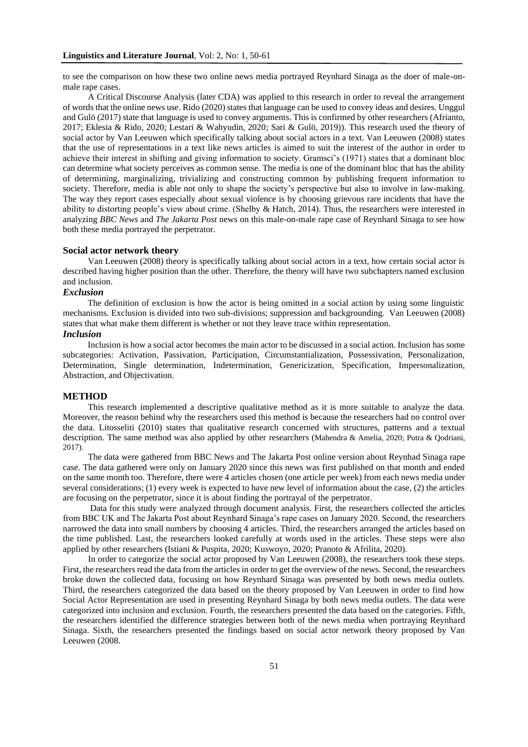to see the comparison on how these two online news media portrayed Reynhard Sinaga as the doer of male-onmale rape cases.

A Critical Discourse Analysis (later CDA) was applied to this research in order to reveal the arrangement of words that the online news use. Rido (2020) states that language can be used to convey ideas and desires. Unggul and Gulö (2017) state that language is used to convey arguments. This is confirmed by other researchers (Afrianto, 2017; Eklesia & Rido, 2020; Lestari & Wahyudin, 2020; Sari & Gulö, 2019)). This research used the theory of social actor by Van Leeuwen which specifically talking about social actors in a text. Van Leeuwen (2008) states that the use of representations in a text like news articles is aimed to suit the interest of the author in order to achieve their interest in shifting and giving information to society. Gramsci's (1971) states that a dominant bloc can determine what society perceives as common sense. The media is one of the dominant bloc that has the ability of determining, marginalizing, trivializing and constructing common by publishing frequent information to society. Therefore, media is able not only to shape the society's perspective but also to involve in law-making. The way they report cases especially about sexual violence is by choosing grievous rare incidents that have the ability to distorting people's view about crime. (Shelby & Hatch, 2014). Thus, the researchers were interested in analyzing *BBC News* and *The Jakarta Post* news on this male-on-male rape case of Reynhard Sinaga to see how both these media portrayed the perpetrator.

# **Social actor network theory**

Van Leeuwen (2008) theory is specifically talking about social actors in a text, how certain social actor is described having higher position than the other. Therefore, the theory will have two subchapters named exclusion and inclusion.

# *Exclusion*

The definition of exclusion is how the actor is being omitted in a social action by using some linguistic mechanisms. Exclusion is divided into two sub-divisions; suppression and backgrounding. Van Leeuwen (2008) states that what make them different is whether or not they leave trace within representation.

# *Inclusion*

Inclusion is how a social actor becomes the main actor to be discussed in a social action. Inclusion has some subcategories: Activation, Passivation, Participation, Circumstantialization, Possessivation, Personalization, Determination, Single determination, Indetermination, Genericization, Specification, Impersonalization, Abstraction, and Objectivation.

# **METHOD**

This research implemented a descriptive qualitative method as it is more suitable to analyze the data. Moreover, the reason behind why the researchers used this method is because the researchers had no control over the data. Litosseliti (2010) states that qualitative research concerned with structures, patterns and a textual description. The same method was also applied by other researchers (Mahendra & Amelia, 2020; Putra & Qodriani, 2017).

The data were gathered from BBC News and The Jakarta Post online version about Reynhad Sinaga rape case. The data gathered were only on January 2020 since this news was first published on that month and ended on the same month too. Therefore, there were 4 articles chosen (one article per week) from each news media under several considerations; (1) every week is expected to have new level of information about the case, (2) the articles are focusing on the perpetrator, since it is about finding the portrayal of the perpetrator.

Data for this study were analyzed through document analysis. First, the researchers collected the articles from BBC UK and The Jakarta Post about Reynhard Sinaga's rape cases on January 2020. Second, the researchers narrowed the data into small numbers by choosing 4 articles. Third, the researchers arranged the articles based on the time published. Last, the researchers looked carefully at words used in the articles. These steps were also applied by other researchers (Istiani & Puspita, 2020; Kuswoyo, 2020; Pranoto & Afrilita, 2020).

In order to categorize the social actor proposed by Van Leeuwen (2008), the researchers took these steps. First, the researchers read the data from the articles in order to get the overview of the news. Second, the researchers broke down the collected data, focusing on how Reynhard Sinaga was presented by both news media outlets. Third, the researchers categorized the data based on the theory proposed by Van Leeuwen in order to find how Social Actor Representation are used in presenting Reynhard Sinaga by both news media outlets. The data were categorized into inclusion and exclusion. Fourth, the researchers presented the data based on the categories. Fifth, the researchers identified the difference strategies between both of the news media when portraying Reynhard Sinaga. Sixth, the researchers presented the findings based on social actor network theory proposed by Van Leeuwen (2008.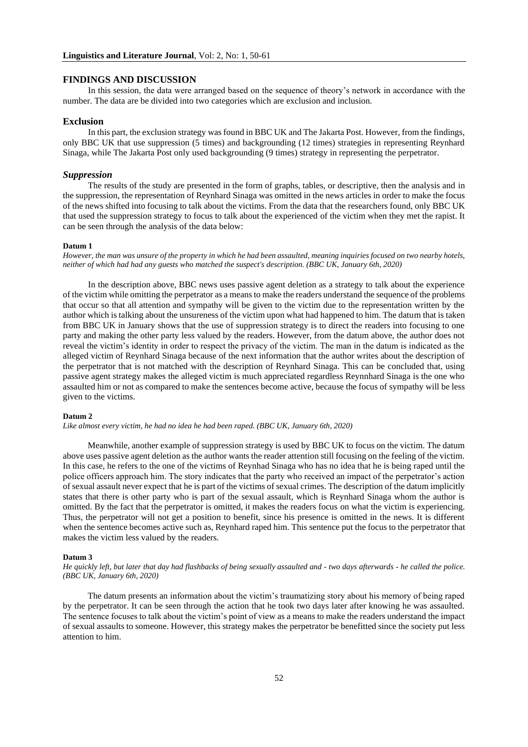# **FINDINGS AND DISCUSSION**

In this session, the data were arranged based on the sequence of theory's network in accordance with the number. The data are be divided into two categories which are exclusion and inclusion.

# **Exclusion**

In this part, the exclusion strategy was found in BBC UK and The Jakarta Post. However, from the findings, only BBC UK that use suppression (5 times) and backgrounding (12 times) strategies in representing Reynhard Sinaga, while The Jakarta Post only used backgrounding (9 times) strategy in representing the perpetrator.

## *Suppression*

The results of the study are presented in the form of graphs, tables, or descriptive, then the analysis and in the suppression, the representation of Reynhard Sinaga was omitted in the news articles in order to make the focus of the news shifted into focusing to talk about the victims. From the data that the researchers found, only BBC UK that used the suppression strategy to focus to talk about the experienced of the victim when they met the rapist. It can be seen through the analysis of the data below:

# **Datum 1**

*However, the man was unsure of the property in which he had been assaulted, meaning inquiries focused on two nearby hotels, neither of which had had any guests who matched the suspect's description. (BBC UK, January 6th, 2020)*

In the description above, BBC news uses passive agent deletion as a strategy to talk about the experience of the victim while omitting the perpetrator as a means to make the readers understand the sequence of the problems that occur so that all attention and sympathy will be given to the victim due to the representation written by the author which is talking about the unsureness of the victim upon what had happened to him. The datum that is taken from BBC UK in January shows that the use of suppression strategy is to direct the readers into focusing to one party and making the other party less valued by the readers. However, from the datum above, the author does not reveal the victim's identity in order to respect the privacy of the victim. The man in the datum is indicated as the alleged victim of Reynhard Sinaga because of the next information that the author writes about the description of the perpetrator that is not matched with the description of Reynhard Sinaga. This can be concluded that, using passive agent strategy makes the alleged victim is much appreciated regardless Reynnhard Sinaga is the one who assaulted him or not as compared to make the sentences become active, because the focus of sympathy will be less given to the victims.

# **Datum 2**

*Like almost every victim, he had no idea he had been raped. (BBC UK, January 6th, 2020)*

Meanwhile, another example of suppression strategy is used by BBC UK to focus on the victim. The datum above uses passive agent deletion as the author wants the reader attention still focusing on the feeling of the victim. In this case, he refers to the one of the victims of Reynhad Sinaga who has no idea that he is being raped until the police officers approach him. The story indicates that the party who received an impact of the perpetrator's action of sexual assault never expect that he is part of the victims of sexual crimes. The description of the datum implicitly states that there is other party who is part of the sexual assault, which is Reynhard Sinaga whom the author is omitted. By the fact that the perpetrator is omitted, it makes the readers focus on what the victim is experiencing. Thus, the perpetrator will not get a position to benefit, since his presence is omitted in the news. It is different when the sentence becomes active such as, Reynhard raped him. This sentence put the focus to the perpetrator that makes the victim less valued by the readers.

## **Datum 3**

*He quickly left, but later that day had flashbacks of being sexually assaulted and - two days afterwards - he called the police. (BBC UK, January 6th, 2020)*

The datum presents an information about the victim's traumatizing story about his memory of being raped by the perpetrator. It can be seen through the action that he took two days later after knowing he was assaulted. The sentence focuses to talk about the victim's point of view as a means to make the readers understand the impact of sexual assaults to someone. However, this strategy makes the perpetrator be benefitted since the society put less attention to him.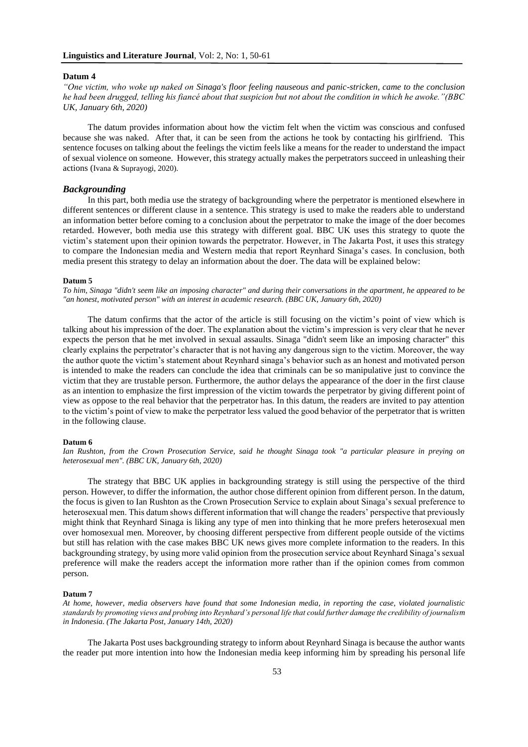# **Datum 4**

*"One victim, who woke up naked on Sinaga's floor feeling nauseous and panic-stricken, came to the conclusion he had been drugged, telling his fiancé about that suspicion but not about the condition in which he awoke."(BBC UK, January 6th, 2020)*

The datum provides information about how the victim felt when the victim was conscious and confused because she was naked. After that, it can be seen from the actions he took by contacting his girlfriend. This sentence focuses on talking about the feelings the victim feels like a means for the reader to understand the impact of sexual violence on someone. However, this strategy actually makes the perpetrators succeed in unleashing their actions (Ivana & Suprayogi, 2020).

# *Backgrounding*

In this part, both media use the strategy of backgrounding where the perpetrator is mentioned elsewhere in different sentences or different clause in a sentence. This strategy is used to make the readers able to understand an information better before coming to a conclusion about the perpetrator to make the image of the doer becomes retarded. However, both media use this strategy with different goal. BBC UK uses this strategy to quote the victim's statement upon their opinion towards the perpetrator. However, in The Jakarta Post, it uses this strategy to compare the Indonesian media and Western media that report Reynhard Sinaga's cases. In conclusion, both media present this strategy to delay an information about the doer. The data will be explained below:

#### **Datum 5**

*To him, Sinaga "didn't seem like an imposing character" and during their conversations in the apartment, he appeared to be "an honest, motivated person" with an interest in academic research. (BBC UK, January 6th, 2020)*

The datum confirms that the actor of the article is still focusing on the victim's point of view which is talking about his impression of the doer. The explanation about the victim's impression is very clear that he never expects the person that he met involved in sexual assaults. Sinaga "didn't seem like an imposing character" this clearly explains the perpetrator's character that is not having any dangerous sign to the victim. Moreover, the way the author quote the victim's statement about Reynhard sinaga's behavior such as an honest and motivated person is intended to make the readers can conclude the idea that criminals can be so manipulative just to convince the victim that they are trustable person. Furthermore, the author delays the appearance of the doer in the first clause as an intention to emphasize the first impression of the victim towards the perpetrator by giving different point of view as oppose to the real behavior that the perpetrator has. In this datum, the readers are invited to pay attention to the victim's point of view to make the perpetrator less valued the good behavior of the perpetrator that is written in the following clause.

## **Datum 6**

*Ian Rushton, from the Crown Prosecution Service, said he thought Sinaga took "a particular pleasure in preying on heterosexual men". (BBC UK, January 6th, 2020)*

The strategy that BBC UK applies in backgrounding strategy is still using the perspective of the third person. However, to differ the information, the author chose different opinion from different person. In the datum, the focus is given to Ian Rushton as the Crown Prosecution Service to explain about Sinaga's sexual preference to heterosexual men. This datum shows different information that will change the readers' perspective that previously might think that Reynhard Sinaga is liking any type of men into thinking that he more prefers heterosexual men over homosexual men. Moreover, by choosing different perspective from different people outside of the victims but still has relation with the case makes BBC UK news gives more complete information to the readers. In this backgrounding strategy, by using more valid opinion from the prosecution service about Reynhard Sinaga's sexual preference will make the readers accept the information more rather than if the opinion comes from common person.

## **Datum 7**

*At home, however, media observers have found that some Indonesian media, in reporting the case, violated journalistic standards by promoting views and probing into Reynhard's personal life that could further damage the credibility of journalism in Indonesia. (The Jakarta Post, January 14th, 2020)*

The Jakarta Post uses backgrounding strategy to inform about Reynhard Sinaga is because the author wants the reader put more intention into how the Indonesian media keep informing him by spreading his personal life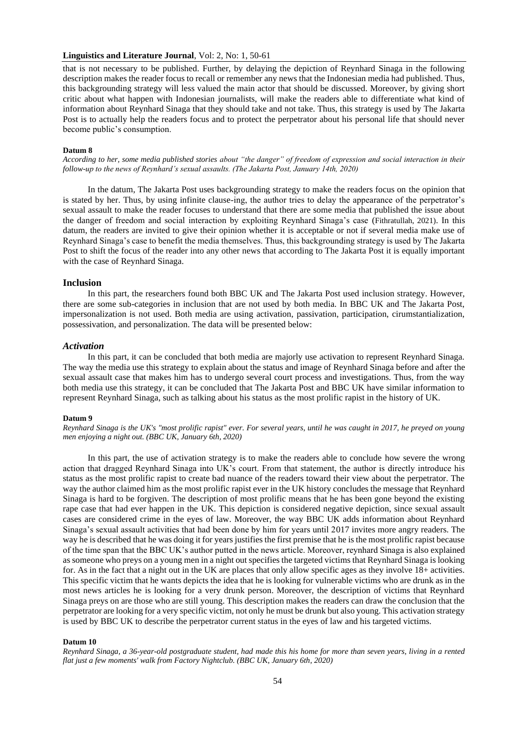# **Linguistics and Literature Journal**, Vol: 2, No: 1, 50-61

that is not necessary to be published. Further, by delaying the depiction of Reynhard Sinaga in the following description makes the reader focus to recall or remember any news that the Indonesian media had published. Thus, this backgrounding strategy will less valued the main actor that should be discussed. Moreover, by giving short critic about what happen with Indonesian journalists, will make the readers able to differentiate what kind of information about Reynhard Sinaga that they should take and not take. Thus, this strategy is used by The Jakarta Post is to actually help the readers focus and to protect the perpetrator about his personal life that should never become public's consumption.

## **Datum 8**

*According to her, some media published stories about "the danger" of freedom of expression and social interaction in their follow-up to the news of Reynhard's sexual assaults. (The Jakarta Post, January 14th, 2020)*

In the datum, The Jakarta Post uses backgrounding strategy to make the readers focus on the opinion that is stated by her. Thus, by using infinite clause-ing, the author tries to delay the appearance of the perpetrator's sexual assault to make the reader focuses to understand that there are some media that published the issue about the danger of freedom and social interaction by exploiting Reynhard Sinaga's case (Fithratullah, 2021). In this datum, the readers are invited to give their opinion whether it is acceptable or not if several media make use of Reynhard Sinaga's case to benefit the media themselves. Thus, this backgrounding strategy is used by The Jakarta Post to shift the focus of the reader into any other news that according to The Jakarta Post it is equally important with the case of Reynhard Sinaga.

#### **Inclusion**

In this part, the researchers found both BBC UK and The Jakarta Post used inclusion strategy. However, there are some sub-categories in inclusion that are not used by both media. In BBC UK and The Jakarta Post, impersonalization is not used. Both media are using activation, passivation, participation, cirumstantialization, possessivation, and personalization. The data will be presented below:

# *Activation*

In this part, it can be concluded that both media are majorly use activation to represent Reynhard Sinaga. The way the media use this strategy to explain about the status and image of Reynhard Sinaga before and after the sexual assault case that makes him has to undergo several court process and investigations. Thus, from the way both media use this strategy, it can be concluded that The Jakarta Post and BBC UK have similar information to represent Reynhard Sinaga, such as talking about his status as the most prolific rapist in the history of UK.

#### **Datum 9**

*Reynhard Sinaga is the UK's "most prolific rapist" ever. For several years, until he was caught in 2017, he preyed on young men enjoying a night out. (BBC UK, January 6th, 2020)*

In this part, the use of activation strategy is to make the readers able to conclude how severe the wrong action that dragged Reynhard Sinaga into UK's court. From that statement, the author is directly introduce his status as the most prolific rapist to create bad nuance of the readers toward their view about the perpetrator. The way the author claimed him as the most prolific rapist ever in the UK history concludes the message that Reynhard Sinaga is hard to be forgiven. The description of most prolific means that he has been gone beyond the existing rape case that had ever happen in the UK. This depiction is considered negative depiction, since sexual assault cases are considered crime in the eyes of law. Moreover, the way BBC UK adds information about Reynhard Sinaga's sexual assault activities that had been done by him for years until 2017 invites more angry readers. The way he is described that he was doing it for years justifies the first premise that he is the most prolific rapist because of the time span that the BBC UK's author putted in the news article. Moreover, reynhard Sinaga is also explained as someone who preys on a young men in a night out specifies the targeted victims that Reynhard Sinaga is looking for. As in the fact that a night out in the UK are places that only allow specific ages as they involve 18+ activities. This specific victim that he wants depicts the idea that he is looking for vulnerable victims who are drunk as in the most news articles he is looking for a very drunk person. Moreover, the description of victims that Reynhard Sinaga preys on are those who are still young. This description makes the readers can draw the conclusion that the perpetrator are looking for a very specific victim, not only he must be drunk but also young. This activation strategy is used by BBC UK to describe the perpetrator current status in the eyes of law and his targeted victims.

#### **Datum 10**

*Reynhard Sinaga, a 36-year-old postgraduate student, had made this his home for more than seven years, living in a rented flat just a few moments' walk from Factory Nightclub. (BBC UK, January 6th, 2020)*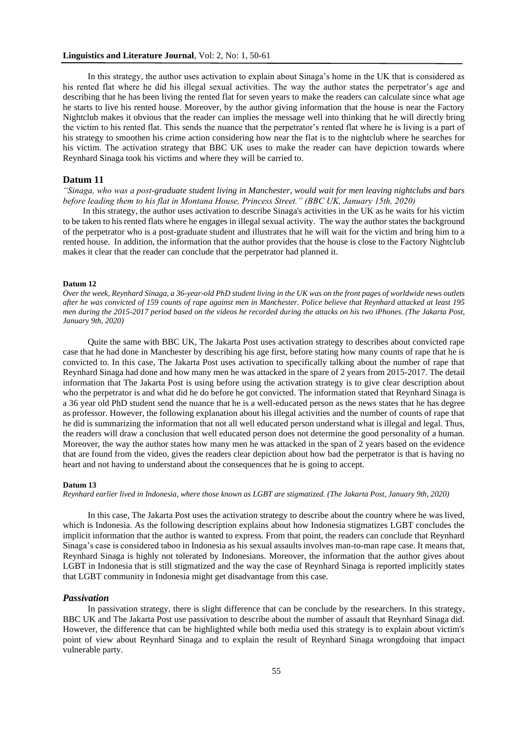# **Linguistics and Literature Journal**, Vol: 2, No: 1, 50-61

In this strategy, the author uses activation to explain about Sinaga's home in the UK that is considered as his rented flat where he did his illegal sexual activities. The way the author states the perpetrator's age and describing that he has been living the rented flat for seven years to make the readers can calculate since what age he starts to live his rented house. Moreover, by the author giving information that the house is near the Factory Nightclub makes it obvious that the reader can implies the message well into thinking that he will directly bring the victim to his rented flat. This sends the nuance that the perpetrator's rented flat where he is living is a part of his strategy to smoothen his crime action considering how near the flat is to the nightclub where he searches for his victim. The activation strategy that BBC UK uses to make the reader can have depiction towards where Reynhard Sinaga took his victims and where they will be carried to.

# **Datum 11**

*"Sinaga, who was a post-graduate student living in Manchester, would wait for men leaving nightclubs and bars before leading them to his flat in Montana House, Princess Street." (BBC UK, January 15th, 2020)*

 In this strategy, the author uses activation to describe Sinaga's activities in the UK as he waits for his victim to be taken to his rented flats where he engages in illegal sexual activity. The way the author states the background of the perpetrator who is a post-graduate student and illustrates that he will wait for the victim and bring him to a rented house. In addition, the information that the author provides that the house is close to the Factory Nightclub makes it clear that the reader can conclude that the perpetrator had planned it.

## **Datum 12**

*Over the week, Reynhard Sinaga, a 36-year-old PhD student living in the UK was on the front pages of worldwide news outlets after he was convicted of 159 counts of rape against men in Manchester. Police believe that Reynhard attacked at least 195 men during the 2015-2017 period based on the videos he recorded during the attacks on his two iPhones. (The Jakarta Post, January 9th, 2020)*

Quite the same with BBC UK, The Jakarta Post uses activation strategy to describes about convicted rape case that he had done in Manchester by describing his age first, before stating how many counts of rape that he is convicted to. In this case, The Jakarta Post uses activation to specifically talking about the number of rape that Reynhard Sinaga had done and how many men he was attacked in the spare of 2 years from 2015-2017. The detail information that The Jakarta Post is using before using the activation strategy is to give clear description about who the perpetrator is and what did he do before he got convicted. The information stated that Reynhard Sinaga is a 36 year old PhD student send the nuance that he is a well-educated person as the news states that he has degree as professor. However, the following explanation about his illegal activities and the number of counts of rape that he did is summarizing the information that not all well educated person understand what is illegal and legal. Thus, the readers will draw a conclusion that well educated person does not determine the good personality of a human. Moreover, the way the author states how many men he was attacked in the span of 2 years based on the evidence that are found from the video, gives the readers clear depiction about how bad the perpetrator is that is having no heart and not having to understand about the consequences that he is going to accept.

#### **Datum 13**

*Reynhard earlier lived in Indonesia, where those known as LGBT are stigmatized. (The Jakarta Post, January 9th, 2020)*

In this case, The Jakarta Post uses the activation strategy to describe about the country where he was lived, which is Indonesia. As the following description explains about how Indonesia stigmatizes LGBT concludes the implicit information that the author is wanted to express. From that point, the readers can conclude that Reynhard Sinaga's case is considered taboo in Indonesia as his sexual assaults involves man-to-man rape case. It means that, Reynhard Sinaga is highly not tolerated by Indonesians. Moreover, the information that the author gives about LGBT in Indonesia that is still stigmatized and the way the case of Reynhard Sinaga is reported implicitly states that LGBT community in Indonesia might get disadvantage from this case.

# *Passivation*

In passivation strategy, there is slight difference that can be conclude by the researchers. In this strategy, BBC UK and The Jakarta Post use passivation to describe about the number of assault that Reynhard Sinaga did. However, the difference that can be highlighted while both media used this strategy is to explain about victim's point of view about Reynhard Sinaga and to explain the result of Reynhard Sinaga wrongdoing that impact vulnerable party.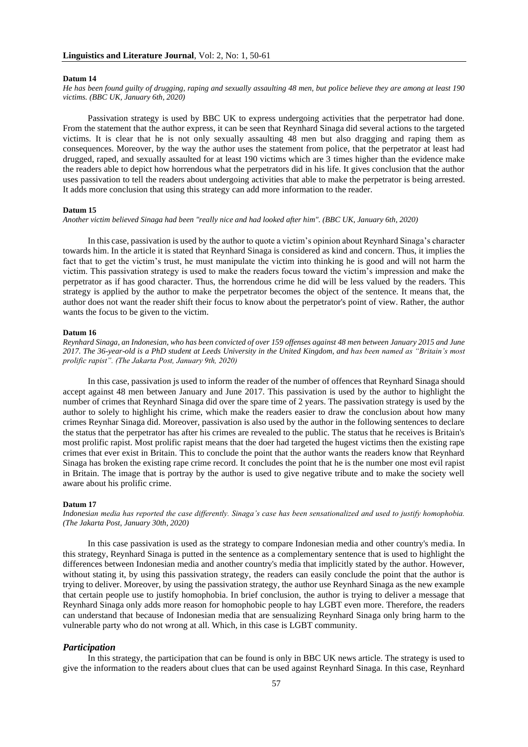#### **Datum 14**

*He has been found guilty of drugging, raping and sexually assaulting 48 men, but police believe they are among at least 190 victims. (BBC UK, January 6th, 2020)*

Passivation strategy is used by BBC UK to express undergoing activities that the perpetrator had done. From the statement that the author express, it can be seen that Reynhard Sinaga did several actions to the targeted victims. It is clear that he is not only sexually assaulting 48 men but also dragging and raping them as consequences. Moreover, by the way the author uses the statement from police, that the perpetrator at least had drugged, raped, and sexually assaulted for at least 190 victims which are 3 times higher than the evidence make the readers able to depict how horrendous what the perpetrators did in his life. It gives conclusion that the author uses passivation to tell the readers about undergoing activities that able to make the perpetrator is being arrested. It adds more conclusion that using this strategy can add more information to the reader.

## **Datum 15**

*Another victim believed Sinaga had been "really nice and had looked after him". (BBC UK, January 6th, 2020)*

In this case, passivation is used by the author to quote a victim's opinion about Reynhard Sinaga's character towards him. In the article it is stated that Reynhard Sinaga is considered as kind and concern. Thus, it implies the fact that to get the victim's trust, he must manipulate the victim into thinking he is good and will not harm the victim. This passivation strategy is used to make the readers focus toward the victim's impression and make the perpetrator as if has good character. Thus, the horrendous crime he did will be less valued by the readers. This strategy is applied by the author to make the perpetrator becomes the object of the sentence. It means that, the author does not want the reader shift their focus to know about the perpetrator's point of view. Rather, the author wants the focus to be given to the victim.

## **Datum 16**

*Reynhard Sinaga, an Indonesian, who has been convicted of over 159 offenses against 48 men between January 2015 and June 2017. The 36-year-old is a PhD student at Leeds University in the United Kingdom, and has been named as "Britain's most prolific rapist". (The Jakarta Post, January 9th, 2020)*

In this case, passivation js used to inform the reader of the number of offences that Reynhard Sinaga should accept against 48 men between January and June 2017. This passivation is used by the author to highlight the number of crimes that Reynhard Sinaga did over the spare time of 2 years. The passivation strategy is used by the author to solely to highlight his crime, which make the readers easier to draw the conclusion about how many crimes Reynhar Sinaga did. Moreover, passivation is also used by the author in the following sentences to declare the status that the perpetrator has after his crimes are revealed to the public. The status that he receives is Britain's most prolific rapist. Most prolific rapist means that the doer had targeted the hugest victims then the existing rape crimes that ever exist in Britain. This to conclude the point that the author wants the readers know that Reynhard Sinaga has broken the existing rape crime record. It concludes the point that he is the number one most evil rapist in Britain. The image that is portray by the author is used to give negative tribute and to make the society well aware about his prolific crime.

#### **Datum 17**

*Indonesian media has reported the case differently. Sinaga's case has been sensationalized and used to justify homophobia. (The Jakarta Post, January 30th, 2020)*

In this case passivation is used as the strategy to compare Indonesian media and other country's media. In this strategy, Reynhard Sinaga is putted in the sentence as a complementary sentence that is used to highlight the differences between Indonesian media and another country's media that implicitly stated by the author. However, without stating it, by using this passivation strategy, the readers can easily conclude the point that the author is trying to deliver. Moreover, by using the passivation strategy, the author use Reynhard Sinaga as the new example that certain people use to justify homophobia. In brief conclusion, the author is trying to deliver a message that Reynhard Sinaga only adds more reason for homophobic people to hay LGBT even more. Therefore, the readers can understand that because of Indonesian media that are sensualizing Reynhard Sinaga only bring harm to the vulnerable party who do not wrong at all. Which, in this case is LGBT community.

# *Participation*

In this strategy, the participation that can be found is only in BBC UK news article. The strategy is used to give the information to the readers about clues that can be used against Reynhard Sinaga. In this case, Reynhard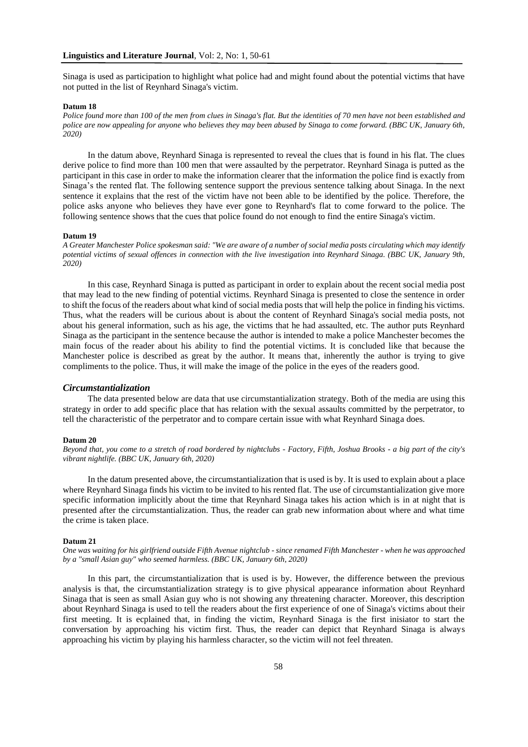Sinaga is used as participation to highlight what police had and might found about the potential victims that have not putted in the list of Reynhard Sinaga's victim.

#### **Datum 18**

*Police found more than 100 of the men from clues in Sinaga's flat. But the identities of 70 men have not been established and police are now appealing for anyone who believes they may been abused by Sinaga to come forward. (BBC UK, January 6th, 2020)*

In the datum above, Reynhard Sinaga is represented to reveal the clues that is found in his flat. The clues derive police to find more than 100 men that were assaulted by the perpetrator. Reynhard Sinaga is putted as the participant in this case in order to make the information clearer that the information the police find is exactly from Sinaga's the rented flat. The following sentence support the previous sentence talking about Sinaga. In the next sentence it explains that the rest of the victim have not been able to be identified by the police. Therefore, the police asks anyone who believes they have ever gone to Reynhard's flat to come forward to the police. The following sentence shows that the cues that police found do not enough to find the entire Sinaga's victim.

#### **Datum 19**

*A Greater Manchester Police spokesman said: "We are aware of a number of social media posts circulating which may identify potential victims of sexual offences in connection with the live investigation into Reynhard Sinaga. (BBC UK, January 9th, 2020)*

In this case, Reynhard Sinaga is putted as participant in order to explain about the recent social media post that may lead to the new finding of potential victims. Reynhard Sinaga is presented to close the sentence in order to shift the focus of the readers about what kind of social media posts that will help the police in finding his victims. Thus, what the readers will be curious about is about the content of Reynhard Sinaga's social media posts, not about his general information, such as his age, the victims that he had assaulted, etc. The author puts Reynhard Sinaga as the participant in the sentence because the author is intended to make a police Manchester becomes the main focus of the reader about his ability to find the potential victims. It is concluded like that because the Manchester police is described as great by the author. It means that, inherently the author is trying to give compliments to the police. Thus, it will make the image of the police in the eyes of the readers good.

## *Circumstantialization*

The data presented below are data that use circumstantialization strategy. Both of the media are using this strategy in order to add specific place that has relation with the sexual assaults committed by the perpetrator, to tell the characteristic of the perpetrator and to compare certain issue with what Reynhard Sinaga does.

## **Datum 20**

*Beyond that, you come to a stretch of road bordered by nightclubs - Factory, Fifth, Joshua Brooks - a big part of the city's vibrant nightlife. (BBC UK, January 6th, 2020)*

In the datum presented above, the circumstantialization that is used is by. It is used to explain about a place where Reynhard Sinaga finds his victim to be invited to his rented flat. The use of circumstantialization give more specific information implicitly about the time that Reynhard Sinaga takes his action which is in at night that is presented after the circumstantialization. Thus, the reader can grab new information about where and what time the crime is taken place.

## **Datum 21**

*One was waiting for his girlfriend outside Fifth Avenue nightclub - since renamed Fifth Manchester - when he was approached by a "small Asian guy" who seemed harmless. (BBC UK, January 6th, 2020)*

In this part, the circumstantialization that is used is by. However, the difference between the previous analysis is that, the circumstantialization strategy is to give physical appearance information about Reynhard Sinaga that is seen as small Asian guy who is not showing any threatening character. Moreover, this description about Reynhard Sinaga is used to tell the readers about the first experience of one of Sinaga's victims about their first meeting. It is ecplained that, in finding the victim, Reynhard Sinaga is the first inisiator to start the conversation by approaching his victim first. Thus, the reader can depict that Reynhard Sinaga is always approaching his victim by playing his harmless character, so the victim will not feel threaten.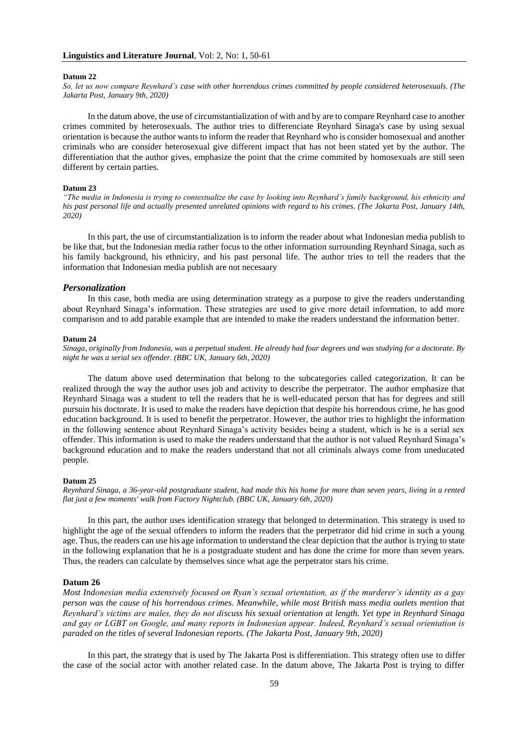#### **Datum 22**

*So, let us now compare Reynhard's case with other horrendous crimes committed by people considered heterosexuals. (The Jakarta Post, January 9th, 2020)*

In the datum above, the use of circumstantialization of with and by are to compare Reynhard case to another crimes commited by heterosexuals. The author tries to differenciate Reynhard Sinaga's case by using sexual orientation is because the author wants to inform the reader that Reynhard who is consider homosexual and another criminals who are consider heterosexual give different impact that has not been stated yet by the author. The differentiation that the author gives, emphasize the point that the crime commited by homosexuals are still seen different by certain parties.

## **Datum 23**

*"The media in Indonesia is trying to contextualize the case by looking into Reynhard's family background, his ethnicity and his past personal life and actually presented unrelated opinions with regard to his crimes. (The Jakarta Post, January 14th, 2020)*

In this part, the use of circumstantialization is to inform the reader about what Indonesian media publish to be like that, but the Indonesian media rather focus to the other information surrounding Reynhard Sinaga, such as his family background, his ethniciry, and his past personal life. The author tries to tell the readers that the information that Indonesian media publish are not necesaary

# *Personalization*

In this case, both media are using determination strategy as a purpose to give the readers understanding about Reynhard Sinaga's information. These strategies are used to give more detail information, to add more comparison and to add parable example that are intended to make the readers understand the information better.

#### **Datum 24**

*Sinaga, originally from Indonesia, was a perpetual student. He already had four degrees and was studying for a doctorate. By night he was a serial sex offender. (BBC UK, January 6th, 2020)*

The datum above used determination that belong to the subcategories called categorization. It can be realized through the way the author uses job and activity to describe the perpetrator. The author emphasize that Reynhard Sinaga was a student to tell the readers that he is well-educated person that has for degrees and still pursuin his doctorate. It is used to make the readers have depiction that despite his horrendous crime, he has good education background. It is used to benefit the perpetrator. However, the author tries to highlight the information in the following sentence about Reynhard Sinaga's activity besides being a student, which is he is a serial sex offender. This information is used to make the readers understand that the author is not valued Reynhard Sinaga's background education and to make the readers understand that not all criminals always come from uneducated people.

# **Datum 25**

*Reynhard Sinaga, a 36-year-old postgraduate student, had made this his home for more than seven years, living in a rented flat just a few moments' walk from Factory Nightclub. (BBC UK, January 6th, 2020)*

In this part, the author uses identification strategy that belonged to determination. This strategy is used to highlight the age of the sexual offenders to inform the readers that the perpetrator did hid crime in such a young age. Thus, the readers can use his age information to understand the clear depiction that the author is trying to state in the following explanation that he is a postgraduate student and has done the crime for more than seven years. Thus, the readers can calculate by themselves since what age the perpetrator stars his crime.

## **Datum 26**

*Most Indonesian media extensively focused on Ryan's sexual orientation, as if the murderer's identity as a gay person was the cause of his horrendous crimes. Meanwhile, while most British mass media outlets mention that Reynhard's victims are males, they do not discuss his sexual orientation at length. Yet type in Reynhard Sinaga and gay or LGBT on Google, and many reports in Indonesian appear. Indeed, Reynhard's sexual orientation is paraded on the titles of several Indonesian reports. (The Jakarta Post, January 9th, 2020)*

In this part, the strategy that is used by The Jakarta Post is differentiation. This strategy often use to differ the case of the social actor with another related case. In the datum above, The Jakarta Post is trying to differ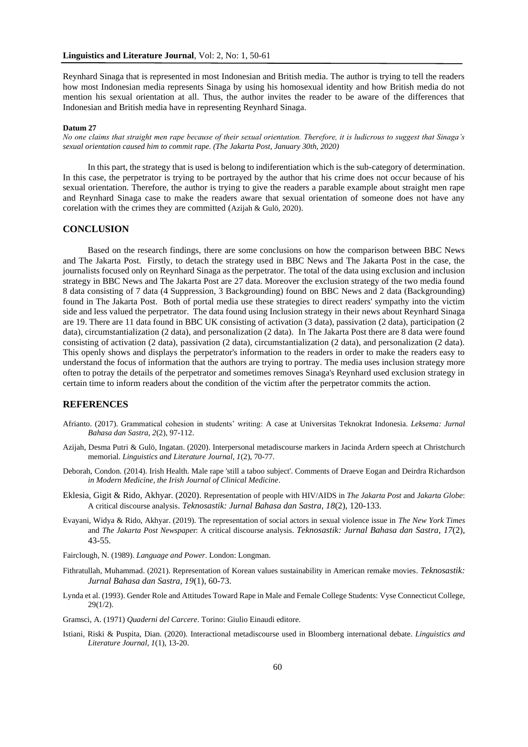Reynhard Sinaga that is represented in most Indonesian and British media. The author is trying to tell the readers how most Indonesian media represents Sinaga by using his homosexual identity and how British media do not mention his sexual orientation at all. Thus, the author invites the reader to be aware of the differences that Indonesian and British media have in representing Reynhard Sinaga.

#### **Datum 27**

*No one claims that straight men rape because of their sexual orientation. Therefore, it is ludicrous to suggest that Sinaga's sexual orientation caused him to commit rape. (The Jakarta Post, January 30th, 2020)*

In this part, the strategy that is used is belong to indiferentiation which is the sub-category of determination. In this case, the perpetrator is trying to be portrayed by the author that his crime does not occur because of his sexual orientation. Therefore, the author is trying to give the readers a parable example about straight men rape and Reynhard Sinaga case to make the readers aware that sexual orientation of someone does not have any corelation with the crimes they are committed (Azijah & Gulö, 2020).

# **CONCLUSION**

Based on the research findings, there are some conclusions on how the comparison between BBC News and The Jakarta Post. Firstly, to detach the strategy used in BBC News and The Jakarta Post in the case, the journalists focused only on Reynhard Sinaga as the perpetrator. The total of the data using exclusion and inclusion strategy in BBC News and The Jakarta Post are 27 data. Moreover the exclusion strategy of the two media found 8 data consisting of 7 data (4 Suppression, 3 Backgrounding) found on BBC News and 2 data (Backgrounding) found in The Jakarta Post. Both of portal media use these strategies to direct readers' sympathy into the victim side and less valued the perpetrator. The data found using Inclusion strategy in their news about Reynhard Sinaga are 19. There are 11 data found in BBC UK consisting of activation (3 data), passivation (2 data), participation (2 data), circumstantialization (2 data), and personalization (2 data). In The Jakarta Post there are 8 data were found consisting of activation (2 data), passivation (2 data), circumstantialization (2 data), and personalization (2 data). This openly shows and displays the perpetrator's information to the readers in order to make the readers easy to understand the focus of information that the authors are trying to portray. The media uses inclusion strategy more often to potray the details of the perpetrator and sometimes removes Sinaga's Reynhard used exclusion strategy in certain time to inform readers about the condition of the victim after the perpetrator commits the action.

# **REFERENCES**

- Afrianto. (2017). Grammatical cohesion in students' writing: A case at Universitas Teknokrat Indonesia. *Leksema: Jurnal Bahasa dan Sastra, 2*(2), 97-112.
- Azijah, Desma Putri & Gulö, Ingatan. (2020). Interpersonal metadiscourse markers in Jacinda Ardern speech at Christchurch memorial. *Linguistics and Literature Journal, 1*(2), 70-77.
- Deborah, Condon. (2014). Irish Health. Male rape 'still a taboo subject'. Comments of Draeve Eogan and Deirdra Richardson *in Modern Medicine, the Irish Journal of Clinical Medicine*.
- Eklesia, Gigit & Rido, Akhyar. (2020). Representation of people with HIV/AIDS in *The Jakarta Post* and *Jakarta Globe*: A critical discourse analysis. *Teknosastik: Jurnal Bahasa dan Sastra, 18*(2), 120-133.
- Evayani, Widya & Rido, Akhyar. (2019). The representation of social actors in sexual violence issue in *The New York Times* and *The Jakarta Post Newspape*r: A critical discourse analysis. *Teknosastik: Jurnal Bahasa dan Sastra, 17*(2), 43-55.
- Fairclough, N. (1989). *Language and Power*. London: Longman.
- Fithratullah, Muhammad. (2021). Representation of Korean values sustainability in American remake movies. *Teknosastik: Jurnal Bahasa dan Sastra, 19*(1), 60-73.
- Lynda et al. (1993). Gender Role and Attitudes Toward Rape in Male and Female College Students: Vyse Connecticut College, 29(1/2).

Gramsci, A. (1971) *Quaderni del Carcere*. Torino: Giulio Einaudi editore.

Istiani, Riski & Puspita, Dian. (2020). Interactional metadiscourse used in Bloomberg international debate. *Linguistics and Literature Journal, 1*(1), 13-20.